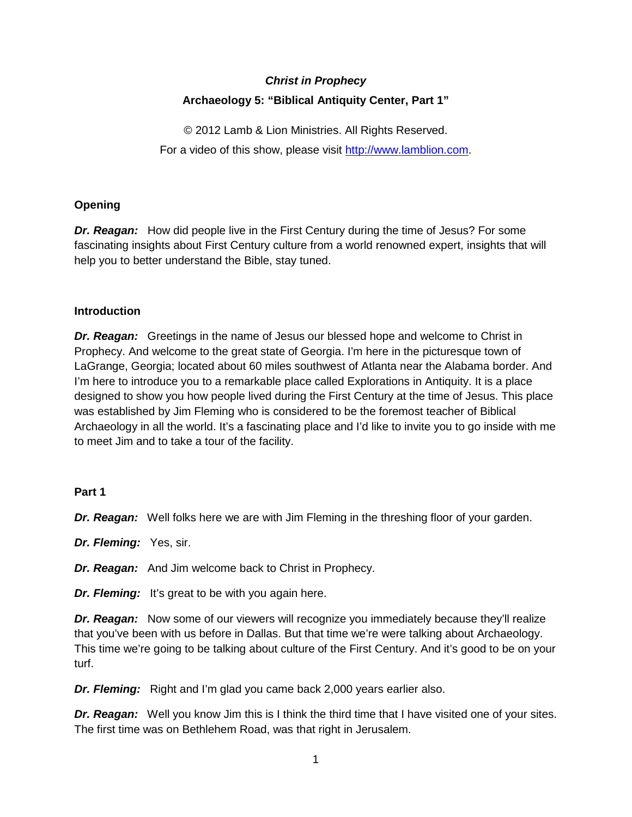# *Christ in Prophecy* **Archaeology 5: "Biblical Antiquity Center, Part 1"**

© 2012 Lamb & Lion Ministries. All Rights Reserved. For a video of this show, please visit [http://www.lamblion.com.](http://www.lamblion.com/)

# **Opening**

*Dr. Reagan:* How did people live in the First Century during the time of Jesus? For some fascinating insights about First Century culture from a world renowned expert, insights that will help you to better understand the Bible, stay tuned.

# **Introduction**

*Dr. Reagan:* Greetings in the name of Jesus our blessed hope and welcome to Christ in Prophecy. And welcome to the great state of Georgia. I'm here in the picturesque town of LaGrange, Georgia; located about 60 miles southwest of Atlanta near the Alabama border. And I'm here to introduce you to a remarkable place called Explorations in Antiquity. It is a place designed to show you how people lived during the First Century at the time of Jesus. This place was established by Jim Fleming who is considered to be the foremost teacher of Biblical Archaeology in all the world. It's a fascinating place and I'd like to invite you to go inside with me to meet Jim and to take a tour of the facility.

# **Part 1**

*Dr. Reagan:* Well folks here we are with Jim Fleming in the threshing floor of your garden.

*Dr. Fleming:* Yes, sir.

*Dr. Reagan:* And Jim welcome back to Christ in Prophecy.

*Dr. Fleming:* It's great to be with you again here.

*Dr. Reagan:* Now some of our viewers will recognize you immediately because they'll realize that you've been with us before in Dallas. But that time we're were talking about Archaeology. This time we're going to be talking about culture of the First Century. And it's good to be on your turf.

*Dr. Fleming:* Right and I'm glad you came back 2,000 years earlier also.

*Dr. Reagan:* Well you know Jim this is I think the third time that I have visited one of your sites. The first time was on Bethlehem Road, was that right in Jerusalem.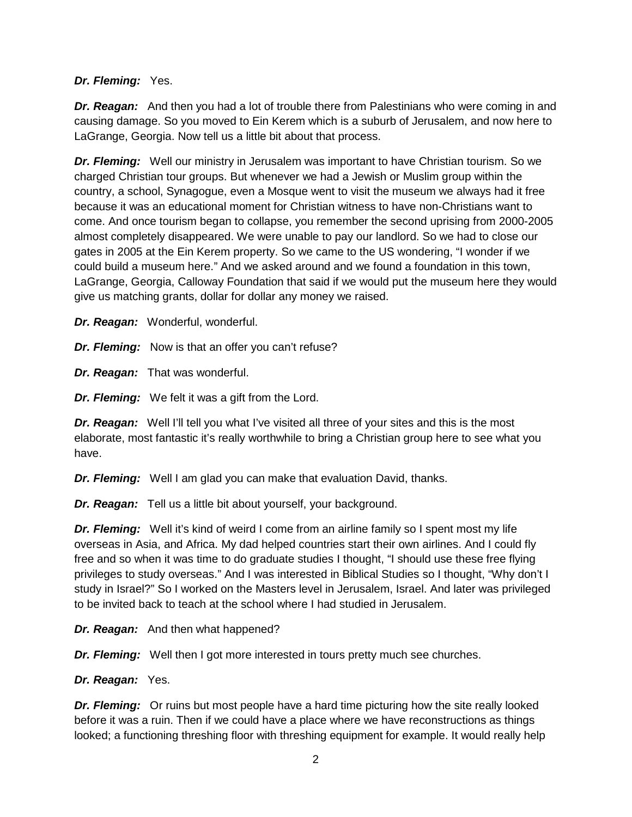## *Dr. Fleming:* Yes.

*Dr. Reagan:* And then you had a lot of trouble there from Palestinians who were coming in and causing damage. So you moved to Ein Kerem which is a suburb of Jerusalem, and now here to LaGrange, Georgia. Now tell us a little bit about that process.

*Dr. Fleming:* Well our ministry in Jerusalem was important to have Christian tourism. So we charged Christian tour groups. But whenever we had a Jewish or Muslim group within the country, a school, Synagogue, even a Mosque went to visit the museum we always had it free because it was an educational moment for Christian witness to have non-Christians want to come. And once tourism began to collapse, you remember the second uprising from 2000-2005 almost completely disappeared. We were unable to pay our landlord. So we had to close our gates in 2005 at the Ein Kerem property. So we came to the US wondering, "I wonder if we could build a museum here." And we asked around and we found a foundation in this town, LaGrange, Georgia, Calloway Foundation that said if we would put the museum here they would give us matching grants, dollar for dollar any money we raised.

*Dr. Reagan:* Wonderful, wonderful.

*Dr. Fleming:* Now is that an offer you can't refuse?

*Dr. Reagan:* That was wonderful.

*Dr. Fleming:* We felt it was a gift from the Lord.

*Dr. Reagan:* Well I'll tell you what I've visited all three of your sites and this is the most elaborate, most fantastic it's really worthwhile to bring a Christian group here to see what you have.

*Dr. Fleming:* Well I am glad you can make that evaluation David, thanks.

*Dr. Reagan:* Tell us a little bit about yourself, your background.

*Dr. Fleming:* Well it's kind of weird I come from an airline family so I spent most my life overseas in Asia, and Africa. My dad helped countries start their own airlines. And I could fly free and so when it was time to do graduate studies I thought, "I should use these free flying privileges to study overseas." And I was interested in Biblical Studies so I thought, "Why don't I study in Israel?" So I worked on the Masters level in Jerusalem, Israel. And later was privileged to be invited back to teach at the school where I had studied in Jerusalem.

*Dr. Reagan:* And then what happened?

*Dr. Fleming:* Well then I got more interested in tours pretty much see churches.

*Dr. Reagan:* Yes.

*Dr. Fleming:* Or ruins but most people have a hard time picturing how the site really looked before it was a ruin. Then if we could have a place where we have reconstructions as things looked; a functioning threshing floor with threshing equipment for example. It would really help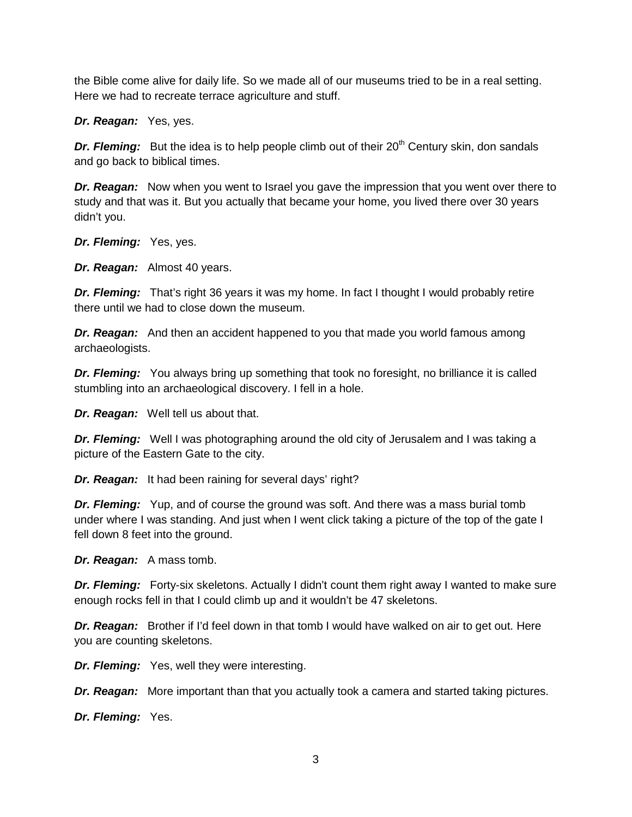the Bible come alive for daily life. So we made all of our museums tried to be in a real setting. Here we had to recreate terrace agriculture and stuff.

*Dr. Reagan:* Yes, yes.

**Dr. Fleming:** But the idea is to help people climb out of their 20<sup>th</sup> Century skin, don sandals and go back to biblical times.

*Dr. Reagan:* Now when you went to Israel you gave the impression that you went over there to study and that was it. But you actually that became your home, you lived there over 30 years didn't you.

*Dr. Fleming:* Yes, yes.

*Dr. Reagan:* Almost 40 years.

**Dr. Fleming:** That's right 36 years it was my home. In fact I thought I would probably retire there until we had to close down the museum.

*Dr. Reagan:* And then an accident happened to you that made you world famous among archaeologists.

**Dr. Fleming:** You always bring up something that took no foresight, no brilliance it is called stumbling into an archaeological discovery. I fell in a hole.

*Dr. Reagan:* Well tell us about that.

*Dr. Fleming:* Well I was photographing around the old city of Jerusalem and I was taking a picture of the Eastern Gate to the city.

*Dr. Reagan:* It had been raining for several days' right?

**Dr. Fleming:** Yup, and of course the ground was soft. And there was a mass burial tomb under where I was standing. And just when I went click taking a picture of the top of the gate I fell down 8 feet into the ground.

*Dr. Reagan:* A mass tomb.

**Dr. Fleming:** Forty-six skeletons. Actually I didn't count them right away I wanted to make sure enough rocks fell in that I could climb up and it wouldn't be 47 skeletons.

*Dr. Reagan:* Brother if I'd feel down in that tomb I would have walked on air to get out. Here you are counting skeletons.

*Dr. Fleming:* Yes, well they were interesting.

*Dr. Reagan:* More important than that you actually took a camera and started taking pictures.

*Dr. Fleming:* Yes.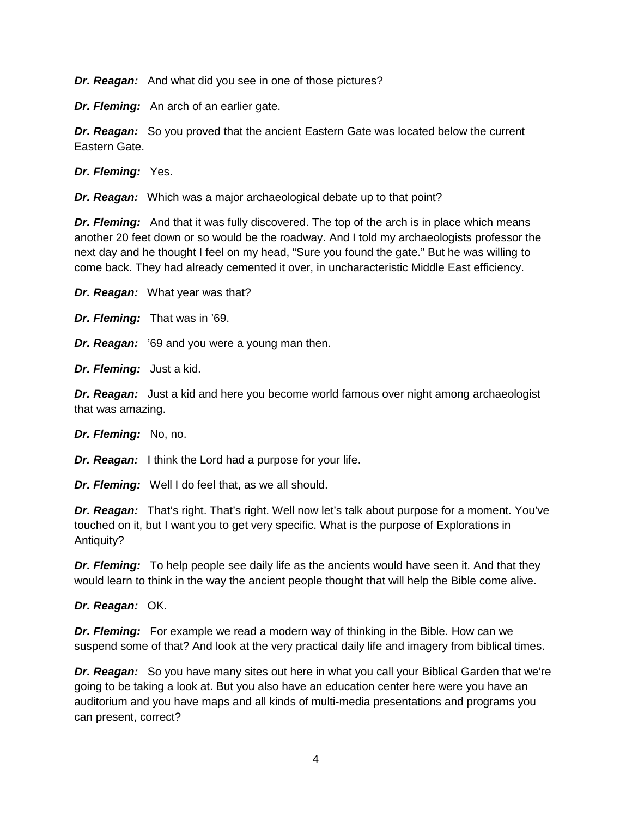*Dr. Reagan:* And what did you see in one of those pictures?

*Dr. Fleming:* An arch of an earlier gate.

*Dr. Reagan:* So you proved that the ancient Eastern Gate was located below the current Eastern Gate.

*Dr. Fleming:* Yes.

*Dr. Reagan:* Which was a major archaeological debate up to that point?

*Dr. Fleming:* And that it was fully discovered. The top of the arch is in place which means another 20 feet down or so would be the roadway. And I told my archaeologists professor the next day and he thought I feel on my head, "Sure you found the gate." But he was willing to come back. They had already cemented it over, in uncharacteristic Middle East efficiency.

*Dr. Reagan:* What year was that?

*Dr. Fleming:* That was in '69.

*Dr. Reagan:* '69 and you were a young man then.

*Dr. Fleming:* Just a kid.

*Dr. Reagan:* Just a kid and here you become world famous over night among archaeologist that was amazing.

*Dr. Fleming:* No, no.

*Dr. Reagan:* I think the Lord had a purpose for your life.

*Dr. Fleming:* Well I do feel that, as we all should.

*Dr. Reagan:* That's right. That's right. Well now let's talk about purpose for a moment. You've touched on it, but I want you to get very specific. What is the purpose of Explorations in Antiquity?

*Dr. Fleming:* To help people see daily life as the ancients would have seen it. And that they would learn to think in the way the ancient people thought that will help the Bible come alive.

*Dr. Reagan:* OK.

*Dr. Fleming:* For example we read a modern way of thinking in the Bible. How can we suspend some of that? And look at the very practical daily life and imagery from biblical times.

*Dr. Reagan:* So you have many sites out here in what you call your Biblical Garden that we're going to be taking a look at. But you also have an education center here were you have an auditorium and you have maps and all kinds of multi-media presentations and programs you can present, correct?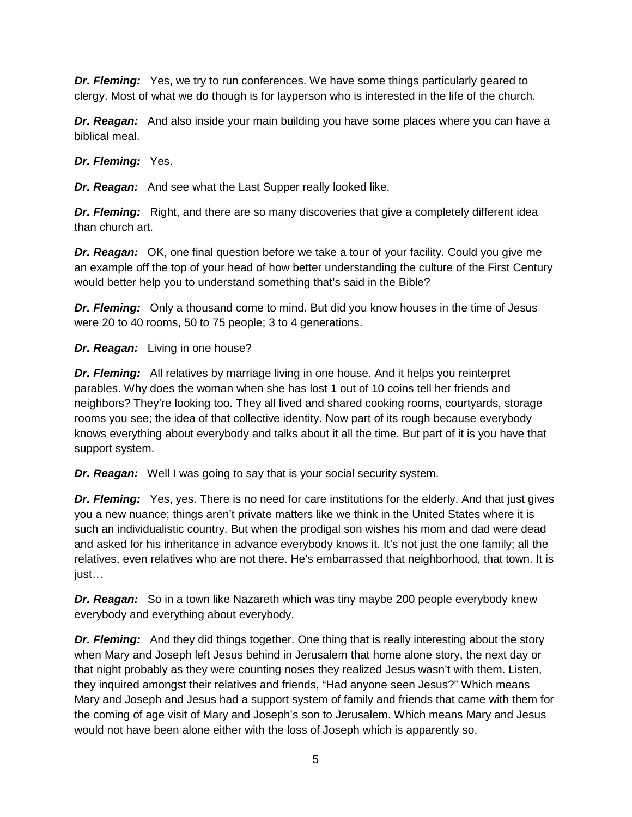*Dr. Fleming:* Yes, we try to run conferences. We have some things particularly geared to clergy. Most of what we do though is for layperson who is interested in the life of the church.

*Dr. Reagan:* And also inside your main building you have some places where you can have a biblical meal.

*Dr. Fleming:* Yes.

*Dr. Reagan:* And see what the Last Supper really looked like.

*Dr. Fleming:* Right, and there are so many discoveries that give a completely different idea than church art.

*Dr. Reagan:* OK, one final question before we take a tour of your facility. Could you give me an example off the top of your head of how better understanding the culture of the First Century would better help you to understand something that's said in the Bible?

*Dr. Fleming:* Only a thousand come to mind. But did you know houses in the time of Jesus were 20 to 40 rooms, 50 to 75 people; 3 to 4 generations.

*Dr. Reagan:* Living in one house?

*Dr. Fleming:* All relatives by marriage living in one house. And it helps you reinterpret parables. Why does the woman when she has lost 1 out of 10 coins tell her friends and neighbors? They're looking too. They all lived and shared cooking rooms, courtyards, storage rooms you see; the idea of that collective identity. Now part of its rough because everybody knows everything about everybody and talks about it all the time. But part of it is you have that support system.

*Dr. Reagan:* Well I was going to say that is your social security system.

**Dr. Fleming:** Yes, yes. There is no need for care institutions for the elderly. And that just gives you a new nuance; things aren't private matters like we think in the United States where it is such an individualistic country. But when the prodigal son wishes his mom and dad were dead and asked for his inheritance in advance everybody knows it. It's not just the one family; all the relatives, even relatives who are not there. He's embarrassed that neighborhood, that town. It is just…

*Dr. Reagan:* So in a town like Nazareth which was tiny maybe 200 people everybody knew everybody and everything about everybody.

**Dr. Fleming:** And they did things together. One thing that is really interesting about the story when Mary and Joseph left Jesus behind in Jerusalem that home alone story, the next day or that night probably as they were counting noses they realized Jesus wasn't with them. Listen, they inquired amongst their relatives and friends, "Had anyone seen Jesus?" Which means Mary and Joseph and Jesus had a support system of family and friends that came with them for the coming of age visit of Mary and Joseph's son to Jerusalem. Which means Mary and Jesus would not have been alone either with the loss of Joseph which is apparently so.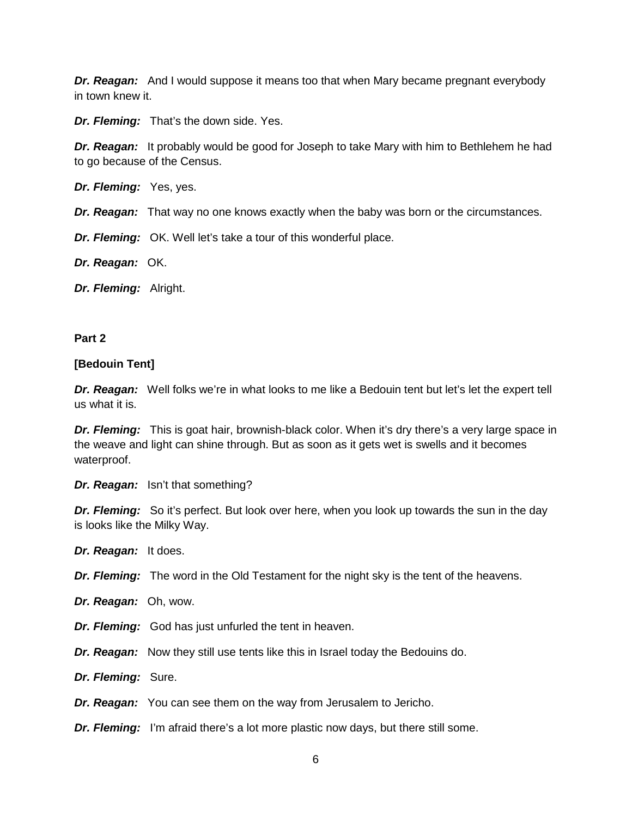*Dr. Reagan:* And I would suppose it means too that when Mary became pregnant everybody in town knew it.

*Dr. Fleming:* That's the down side. Yes.

**Dr. Reagan:** It probably would be good for Joseph to take Mary with him to Bethlehem he had to go because of the Census.

*Dr. Fleming:* Yes, yes.

*Dr. Reagan:* That way no one knows exactly when the baby was born or the circumstances.

*Dr. Fleming:* OK. Well let's take a tour of this wonderful place.

*Dr. Reagan:* OK.

*Dr. Fleming:* Alright.

#### **Part 2**

#### **[Bedouin Tent]**

*Dr. Reagan:* Well folks we're in what looks to me like a Bedouin tent but let's let the expert tell us what it is.

*Dr. Fleming:* This is goat hair, brownish-black color. When it's dry there's a very large space in the weave and light can shine through. But as soon as it gets wet is swells and it becomes waterproof.

*Dr. Reagan:* Isn't that something?

**Dr. Fleming:** So it's perfect. But look over here, when you look up towards the sun in the day is looks like the Milky Way.

*Dr. Reagan:* It does.

*Dr. Fleming:* The word in the Old Testament for the night sky is the tent of the heavens.

*Dr. Reagan:* Oh, wow.

*Dr. Fleming:* God has just unfurled the tent in heaven.

*Dr. Reagan:* Now they still use tents like this in Israel today the Bedouins do.

*Dr. Fleming:* Sure.

*Dr. Reagan:* You can see them on the way from Jerusalem to Jericho.

*Dr. Fleming:* I'm afraid there's a lot more plastic now days, but there still some.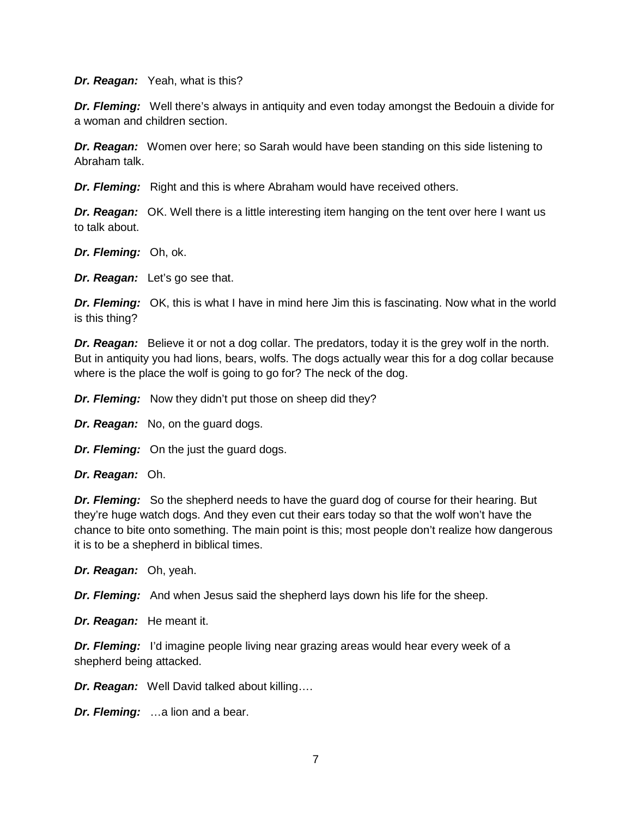*Dr. Reagan:* Yeah, what is this?

*Dr. Fleming:* Well there's always in antiquity and even today amongst the Bedouin a divide for a woman and children section.

*Dr. Reagan:* Women over here; so Sarah would have been standing on this side listening to Abraham talk.

*Dr. Fleming:* Right and this is where Abraham would have received others.

*Dr. Reagan:* OK. Well there is a little interesting item hanging on the tent over here I want us to talk about.

*Dr. Fleming:* Oh, ok.

*Dr. Reagan:* Let's go see that.

*Dr. Fleming:* OK, this is what I have in mind here Jim this is fascinating. Now what in the world is this thing?

*Dr. Reagan:* Believe it or not a dog collar. The predators, today it is the grey wolf in the north. But in antiquity you had lions, bears, wolfs. The dogs actually wear this for a dog collar because where is the place the wolf is going to go for? The neck of the dog.

*Dr. Fleming:* Now they didn't put those on sheep did they?

*Dr. Reagan:* No, on the guard dogs.

*Dr. Fleming:* On the just the guard dogs.

*Dr. Reagan:* Oh.

*Dr. Fleming:* So the shepherd needs to have the guard dog of course for their hearing. But they're huge watch dogs. And they even cut their ears today so that the wolf won't have the chance to bite onto something. The main point is this; most people don't realize how dangerous it is to be a shepherd in biblical times.

*Dr. Reagan:* Oh, yeah.

*Dr. Fleming:* And when Jesus said the shepherd lays down his life for the sheep.

*Dr. Reagan:* He meant it.

*Dr. Fleming:* I'd imagine people living near grazing areas would hear every week of a shepherd being attacked.

*Dr. Reagan:* Well David talked about killing….

*Dr. Fleming:* …a lion and a bear.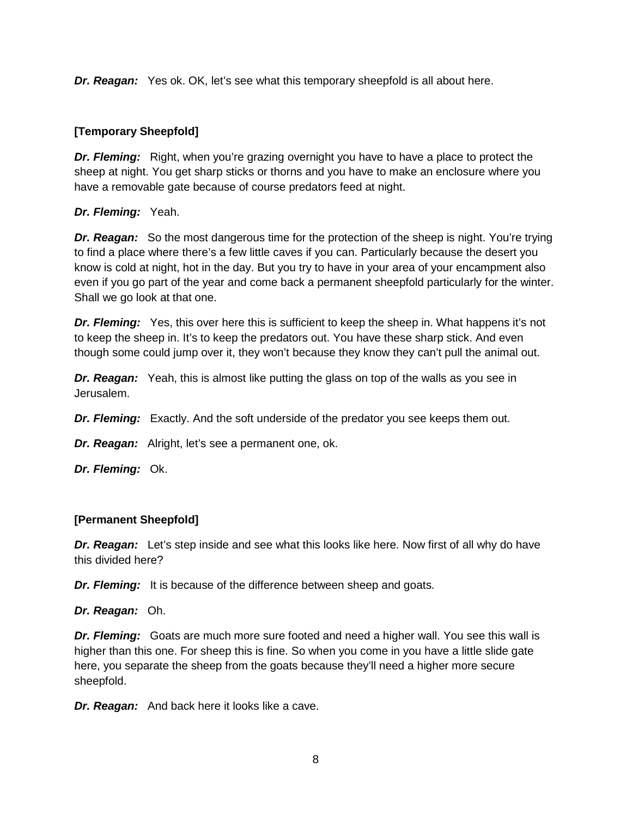*Dr. Reagan:* Yes ok. OK, let's see what this temporary sheepfold is all about here.

## **[Temporary Sheepfold]**

*Dr. Fleming:* Right, when you're grazing overnight you have to have a place to protect the sheep at night. You get sharp sticks or thorns and you have to make an enclosure where you have a removable gate because of course predators feed at night.

## *Dr. Fleming:* Yeah.

**Dr. Reagan:** So the most dangerous time for the protection of the sheep is night. You're trying to find a place where there's a few little caves if you can. Particularly because the desert you know is cold at night, hot in the day. But you try to have in your area of your encampment also even if you go part of the year and come back a permanent sheepfold particularly for the winter. Shall we go look at that one.

**Dr. Fleming:** Yes, this over here this is sufficient to keep the sheep in. What happens it's not to keep the sheep in. It's to keep the predators out. You have these sharp stick. And even though some could jump over it, they won't because they know they can't pull the animal out.

*Dr. Reagan:* Yeah, this is almost like putting the glass on top of the walls as you see in Jerusalem.

*Dr. Fleming:* Exactly. And the soft underside of the predator you see keeps them out.

*Dr. Reagan:* Alright, let's see a permanent one, ok.

*Dr. Fleming:* Ok.

# **[Permanent Sheepfold]**

*Dr. Reagan:* Let's step inside and see what this looks like here. Now first of all why do have this divided here?

*Dr. Fleming:* It is because of the difference between sheep and goats.

*Dr. Reagan:* Oh.

*Dr. Fleming:* Goats are much more sure footed and need a higher wall. You see this wall is higher than this one. For sheep this is fine. So when you come in you have a little slide gate here, you separate the sheep from the goats because they'll need a higher more secure sheepfold.

*Dr. Reagan:* And back here it looks like a cave.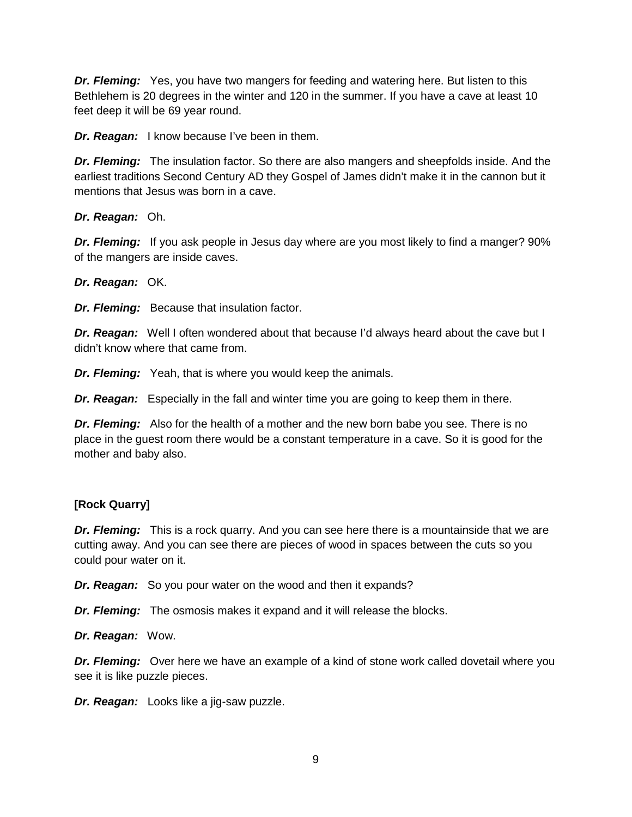*Dr. Fleming:* Yes, you have two mangers for feeding and watering here. But listen to this Bethlehem is 20 degrees in the winter and 120 in the summer. If you have a cave at least 10 feet deep it will be 69 year round.

*Dr. Reagan:* I know because I've been in them.

*Dr. Fleming:* The insulation factor. So there are also mangers and sheepfolds inside. And the earliest traditions Second Century AD they Gospel of James didn't make it in the cannon but it mentions that Jesus was born in a cave.

*Dr. Reagan:* Oh.

*Dr. Fleming:* If you ask people in Jesus day where are you most likely to find a manger? 90% of the mangers are inside caves.

*Dr. Reagan:* OK.

*Dr. Fleming:* Because that insulation factor.

*Dr. Reagan:* Well I often wondered about that because I'd always heard about the cave but I didn't know where that came from.

*Dr. Fleming:* Yeah, that is where you would keep the animals.

*Dr. Reagan:* Especially in the fall and winter time you are going to keep them in there.

*Dr. Fleming:* Also for the health of a mother and the new born babe you see. There is no place in the guest room there would be a constant temperature in a cave. So it is good for the mother and baby also.

## **[Rock Quarry]**

*Dr. Fleming:* This is a rock quarry. And you can see here there is a mountainside that we are cutting away. And you can see there are pieces of wood in spaces between the cuts so you could pour water on it.

*Dr. Reagan:* So you pour water on the wood and then it expands?

*Dr. Fleming:* The osmosis makes it expand and it will release the blocks.

*Dr. Reagan:* Wow.

*Dr. Fleming:* Over here we have an example of a kind of stone work called dovetail where you see it is like puzzle pieces.

*Dr. Reagan:* Looks like a jig-saw puzzle.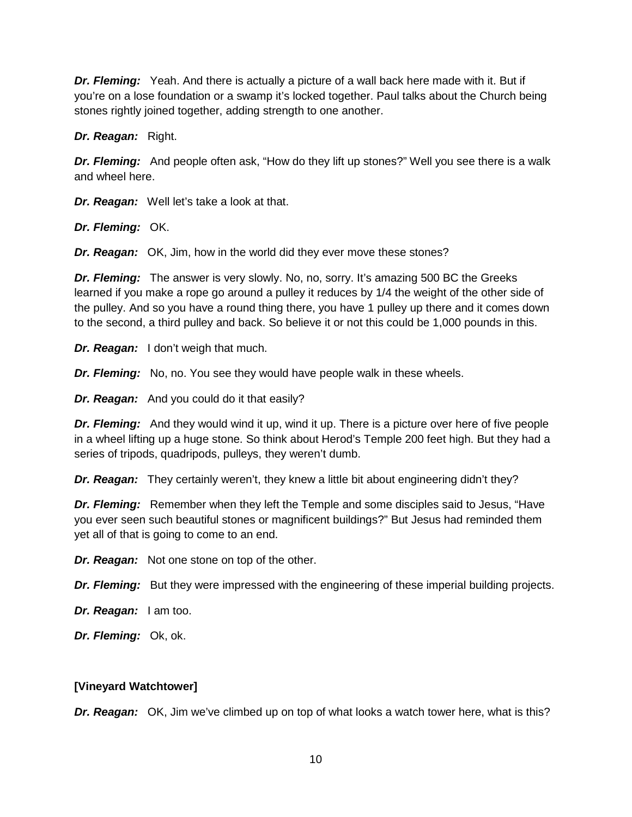*Dr. Fleming:* Yeah. And there is actually a picture of a wall back here made with it. But if you're on a lose foundation or a swamp it's locked together. Paul talks about the Church being stones rightly joined together, adding strength to one another.

*Dr. Reagan:* Right.

*Dr. Fleming:* And people often ask, "How do they lift up stones?" Well you see there is a walk and wheel here.

*Dr. Reagan:* Well let's take a look at that.

*Dr. Fleming:* OK.

*Dr. Reagan:* OK, Jim, how in the world did they ever move these stones?

*Dr. Fleming:* The answer is very slowly. No, no, sorry. It's amazing 500 BC the Greeks learned if you make a rope go around a pulley it reduces by 1/4 the weight of the other side of the pulley. And so you have a round thing there, you have 1 pulley up there and it comes down to the second, a third pulley and back. So believe it or not this could be 1,000 pounds in this.

*Dr. Reagan:* I don't weigh that much.

*Dr. Fleming:* No, no. You see they would have people walk in these wheels.

*Dr. Reagan:* And you could do it that easily?

*Dr. Fleming:* And they would wind it up, wind it up. There is a picture over here of five people in a wheel lifting up a huge stone. So think about Herod's Temple 200 feet high. But they had a series of tripods, quadripods, pulleys, they weren't dumb.

*Dr. Reagan:* They certainly weren't, they knew a little bit about engineering didn't they?

*Dr. Fleming:* Remember when they left the Temple and some disciples said to Jesus, "Have you ever seen such beautiful stones or magnificent buildings?" But Jesus had reminded them yet all of that is going to come to an end.

*Dr. Reagan:* Not one stone on top of the other.

*Dr. Fleming:* But they were impressed with the engineering of these imperial building projects.

*Dr. Reagan:* I am too.

*Dr. Fleming:* Ok, ok.

## **[Vineyard Watchtower]**

*Dr. Reagan:* OK, Jim we've climbed up on top of what looks a watch tower here, what is this?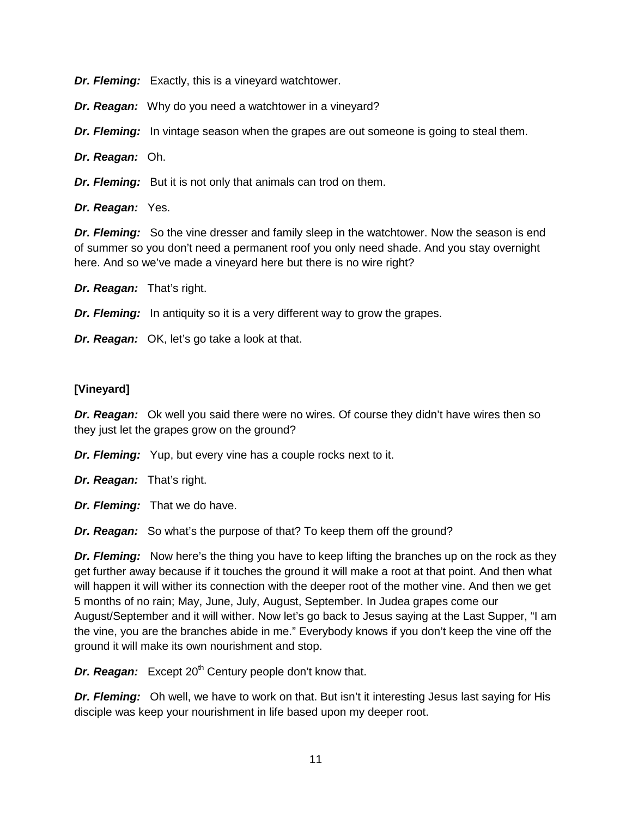*Dr. Fleming:* Exactly, this is a vineyard watchtower.

*Dr. Reagan:* Why do you need a watchtower in a vineyard?

*Dr. Fleming:* In vintage season when the grapes are out someone is going to steal them.

*Dr. Reagan:* Oh.

**Dr. Fleming:** But it is not only that animals can trod on them.

*Dr. Reagan:* Yes.

*Dr. Fleming:* So the vine dresser and family sleep in the watchtower. Now the season is end of summer so you don't need a permanent roof you only need shade. And you stay overnight here. And so we've made a vineyard here but there is no wire right?

*Dr. Reagan:* That's right.

*Dr. Fleming:* In antiquity so it is a very different way to grow the grapes.

*Dr. Reagan:* OK, let's go take a look at that.

## **[Vineyard]**

*Dr. Reagan:* Ok well you said there were no wires. Of course they didn't have wires then so they just let the grapes grow on the ground?

*Dr. Fleming:* Yup, but every vine has a couple rocks next to it.

*Dr. Reagan:* That's right.

*Dr. Fleming:* That we do have.

*Dr. Reagan:* So what's the purpose of that? To keep them off the ground?

**Dr. Fleming:** Now here's the thing you have to keep lifting the branches up on the rock as they get further away because if it touches the ground it will make a root at that point. And then what will happen it will wither its connection with the deeper root of the mother vine. And then we get 5 months of no rain; May, June, July, August, September. In Judea grapes come our August/September and it will wither. Now let's go back to Jesus saying at the Last Supper, "I am the vine, you are the branches abide in me." Everybody knows if you don't keep the vine off the ground it will make its own nourishment and stop.

*Dr. Reagan:* Except 20<sup>th</sup> Century people don't know that.

*Dr. Fleming:* Oh well, we have to work on that. But isn't it interesting Jesus last saying for His disciple was keep your nourishment in life based upon my deeper root.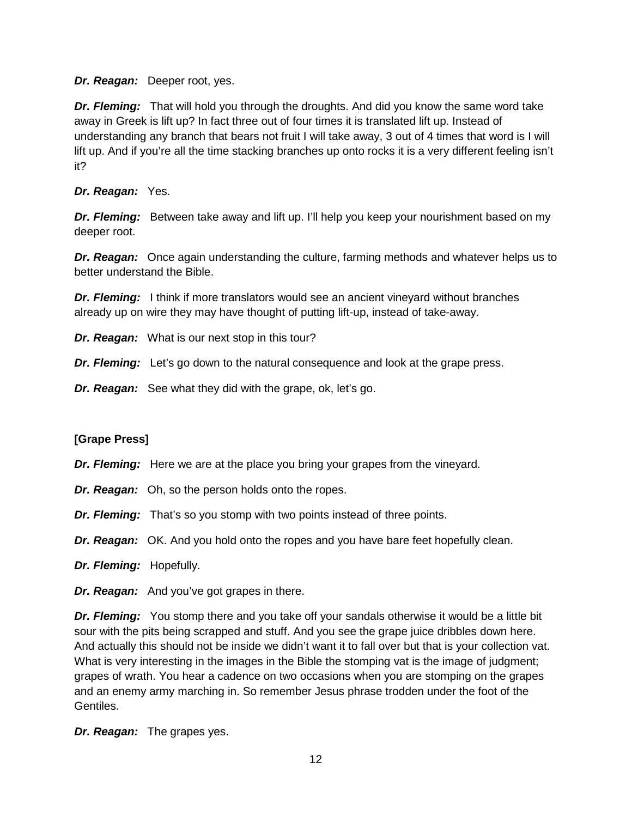*Dr. Reagan:* Deeper root, yes.

*Dr. Fleming:* That will hold you through the droughts. And did you know the same word take away in Greek is lift up? In fact three out of four times it is translated lift up. Instead of understanding any branch that bears not fruit I will take away, 3 out of 4 times that word is I will lift up. And if you're all the time stacking branches up onto rocks it is a very different feeling isn't it?

# *Dr. Reagan:* Yes.

*Dr. Fleming:* Between take away and lift up. I'll help you keep your nourishment based on my deeper root.

*Dr. Reagan:* Once again understanding the culture, farming methods and whatever helps us to better understand the Bible.

*Dr. Fleming:* I think if more translators would see an ancient vineyard without branches already up on wire they may have thought of putting lift-up, instead of take-away.

*Dr. Reagan:* What is our next stop in this tour?

*Dr. Fleming:* Let's go down to the natural consequence and look at the grape press.

*Dr. Reagan:* See what they did with the grape, ok, let's go.

# **[Grape Press]**

- *Dr. Fleming:* Here we are at the place you bring your grapes from the vineyard.
- *Dr. Reagan:* Oh, so the person holds onto the ropes.
- *Dr. Fleming:* That's so you stomp with two points instead of three points.
- *Dr. Reagan:* OK. And you hold onto the ropes and you have bare feet hopefully clean.
- *Dr. Fleming:* Hopefully.
- *Dr. Reagan:* And you've got grapes in there.

*Dr. Fleming:* You stomp there and you take off your sandals otherwise it would be a little bit sour with the pits being scrapped and stuff. And you see the grape juice dribbles down here. And actually this should not be inside we didn't want it to fall over but that is your collection vat. What is very interesting in the images in the Bible the stomping vat is the image of judgment; grapes of wrath. You hear a cadence on two occasions when you are stomping on the grapes and an enemy army marching in. So remember Jesus phrase trodden under the foot of the Gentiles.

*Dr. Reagan:* The grapes yes.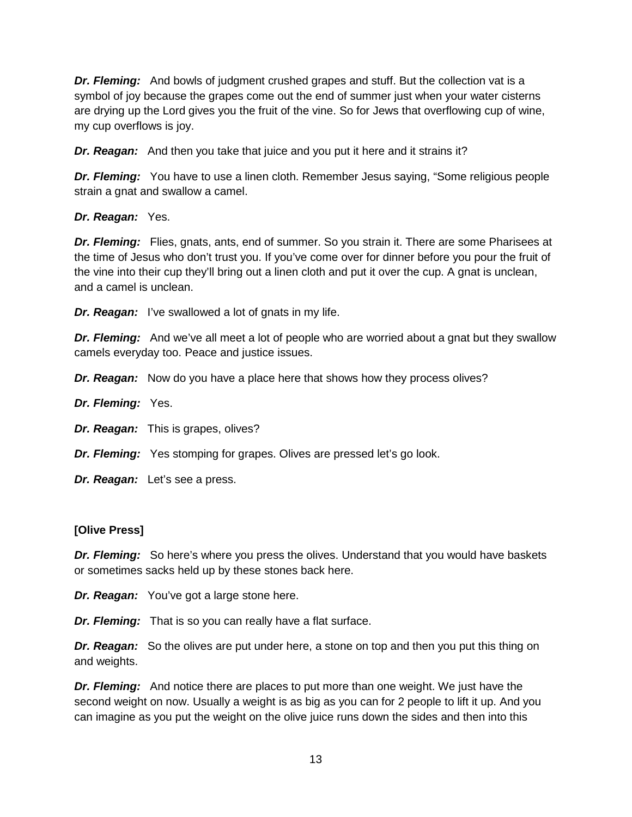*Dr. Fleming:* And bowls of judgment crushed grapes and stuff. But the collection vat is a symbol of joy because the grapes come out the end of summer just when your water cisterns are drying up the Lord gives you the fruit of the vine. So for Jews that overflowing cup of wine, my cup overflows is joy.

*Dr. Reagan:* And then you take that juice and you put it here and it strains it?

*Dr. Fleming:* You have to use a linen cloth. Remember Jesus saying, "Some religious people strain a gnat and swallow a camel.

*Dr. Reagan:* Yes.

*Dr. Fleming:* Flies, gnats, ants, end of summer. So you strain it. There are some Pharisees at the time of Jesus who don't trust you. If you've come over for dinner before you pour the fruit of the vine into their cup they'll bring out a linen cloth and put it over the cup. A gnat is unclean, and a camel is unclean.

*Dr. Reagan:* I've swallowed a lot of gnats in my life.

*Dr. Fleming:* And we've all meet a lot of people who are worried about a gnat but they swallow camels everyday too. Peace and justice issues.

*Dr. Reagan:* Now do you have a place here that shows how they process olives?

*Dr. Fleming:* Yes.

*Dr. Reagan:* This is grapes, olives?

*Dr. Fleming:* Yes stomping for grapes. Olives are pressed let's go look.

*Dr. Reagan:* Let's see a press.

## **[Olive Press]**

**Dr. Fleming:** So here's where you press the olives. Understand that you would have baskets or sometimes sacks held up by these stones back here.

*Dr. Reagan:* You've got a large stone here.

*Dr. Fleming:* That is so you can really have a flat surface.

**Dr. Reagan:** So the olives are put under here, a stone on top and then you put this thing on and weights.

*Dr. Fleming:* And notice there are places to put more than one weight. We just have the second weight on now. Usually a weight is as big as you can for 2 people to lift it up. And you can imagine as you put the weight on the olive juice runs down the sides and then into this